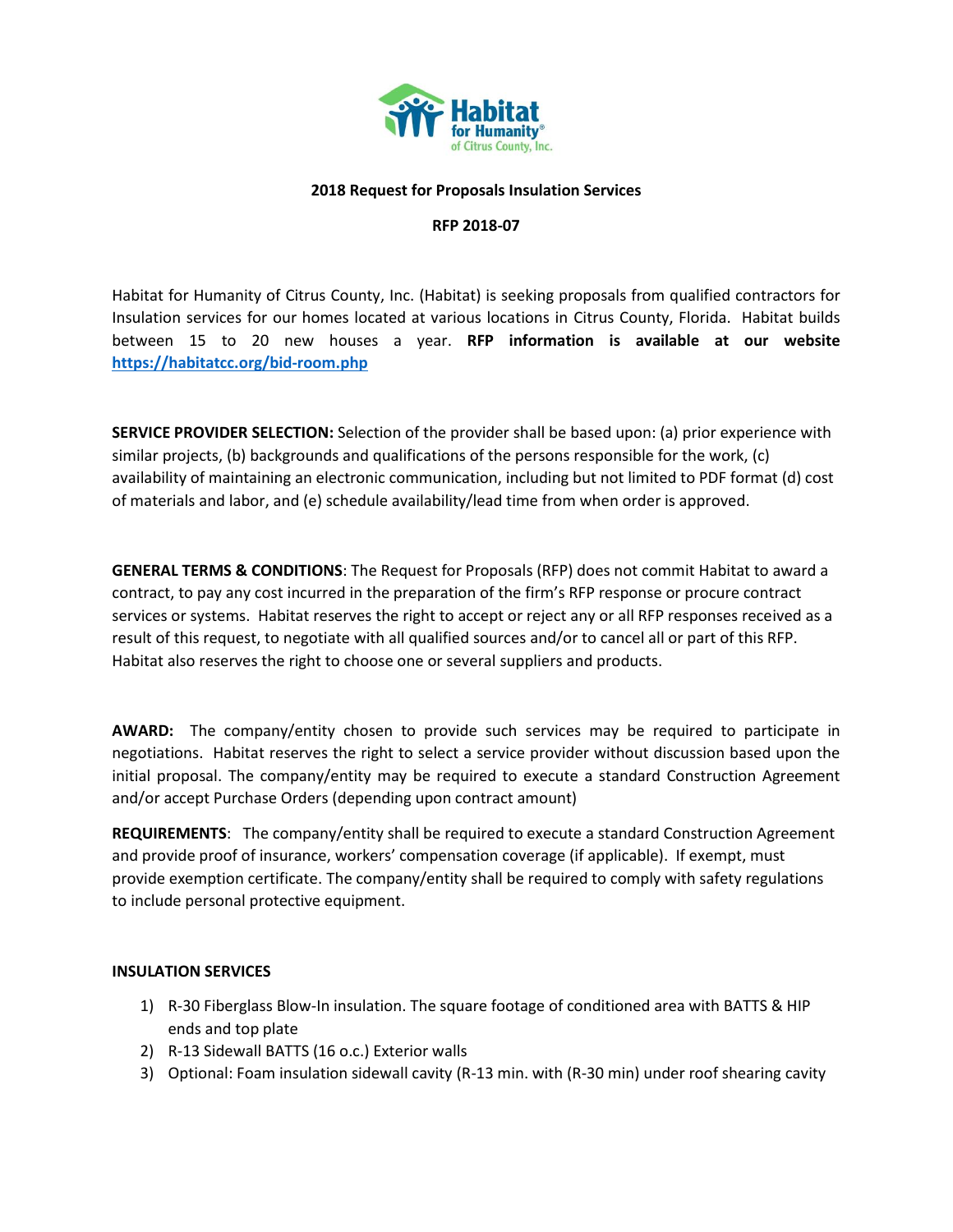

### **2018 Request for Proposals Insulation Services**

#### **RFP 2018-07**

Habitat for Humanity of Citrus County, Inc. (Habitat) is seeking proposals from qualified contractors for Insulation services for our homes located at various locations in Citrus County, Florida. Habitat builds between 15 to 20 new houses a year. **RFP information is available at our website <https://habitatcc.org/bid-room.php>**

**SERVICE PROVIDER SELECTION:** Selection of the provider shall be based upon: (a) prior experience with similar projects, (b) backgrounds and qualifications of the persons responsible for the work, (c) availability of maintaining an electronic communication, including but not limited to PDF format (d) cost of materials and labor, and (e) schedule availability/lead time from when order is approved.

**GENERAL TERMS & CONDITIONS**: The Request for Proposals (RFP) does not commit Habitat to award a contract, to pay any cost incurred in the preparation of the firm's RFP response or procure contract services or systems. Habitat reserves the right to accept or reject any or all RFP responses received as a result of this request, to negotiate with all qualified sources and/or to cancel all or part of this RFP. Habitat also reserves the right to choose one or several suppliers and products.

**AWARD:** The company/entity chosen to provide such services may be required to participate in negotiations. Habitat reserves the right to select a service provider without discussion based upon the initial proposal. The company/entity may be required to execute a standard Construction Agreement and/or accept Purchase Orders (depending upon contract amount)

**REQUIREMENTS**: The company/entity shall be required to execute a standard Construction Agreement and provide proof of insurance, workers' compensation coverage (if applicable). If exempt, must provide exemption certificate. The company/entity shall be required to comply with safety regulations to include personal protective equipment.

# **INSULATION SERVICES**

- 1) R-30 Fiberglass Blow-In insulation. The square footage of conditioned area with BATTS & HIP ends and top plate
- 2) R-13 Sidewall BATTS (16 o.c.) Exterior walls
- 3) Optional: Foam insulation sidewall cavity (R-13 min. with (R-30 min) under roof shearing cavity